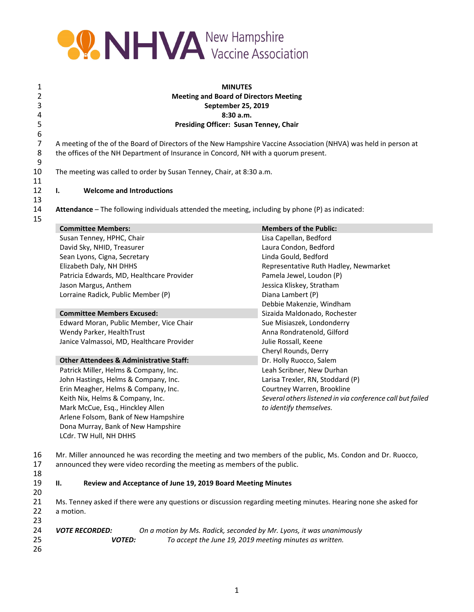

1 **MINUTES Meeting and Board of Directors Meeting September 25, 2019 8:30 a.m. Presiding Officer: Susan Tenney, Chair**

7 A meeting of the of the Board of Directors of the New Hampshire Vaccine Association (NHVA) was held in person at the offices of the NH Department of Insurance in Concord, NH with a quorum present. the offices of the NH Department of Insurance in Concord, NH with a quorum present.

10 The meeting was called to order by Susan Tenney, Chair, at 8:30 a.m.

12 **I. Welcome and Introductions**

14 **Attendance** – The following individuals attended the meeting, including by phone (P) as indicated:

| <b>Committee Members:</b>                          | <b>Members of the Public:</b>                             |
|----------------------------------------------------|-----------------------------------------------------------|
| Susan Tenney, HPHC, Chair                          | Lisa Capellan, Bedford                                    |
| David Sky, NHID, Treasurer                         | Laura Condon, Bedford                                     |
| Sean Lyons, Cigna, Secretary                       | Linda Gould, Bedford                                      |
| Elizabeth Daly, NH DHHS                            | Representative Ruth Hadley, Newmarket                     |
| Patricia Edwards, MD, Healthcare Provider          | Pamela Jewel, Loudon (P)                                  |
| Jason Margus, Anthem                               | Jessica Kliskey, Stratham                                 |
| Lorraine Radick, Public Member (P)                 | Diana Lambert (P)                                         |
|                                                    | Debbie Makenzie, Windham                                  |
| <b>Committee Members Excused:</b>                  | Sizaida Maldonado, Rochester                              |
| Edward Moran, Public Member, Vice Chair            | Sue Misiaszek, Londonderry                                |
| Wendy Parker, HealthTrust                          | Anna Rondratenold, Gilford                                |
| Janice Valmassoi, MD, Healthcare Provider          | Julie Rossall, Keene                                      |
|                                                    | Cheryl Rounds, Derry                                      |
| <b>Other Attendees &amp; Administrative Staff:</b> | Dr. Holly Ruocco, Salem                                   |
| Patrick Miller, Helms & Company, Inc.              | Leah Scribner, New Durhan                                 |
| John Hastings, Helms & Company, Inc.               | Larisa Trexler, RN, Stoddard (P)                          |
| Erin Meagher, Helms & Company, Inc.                | Courtney Warren, Brookline                                |
| Keith Nix, Helms & Company, Inc.                   | Several others listened in via conference call but failed |
| Mark McCue, Esq., Hinckley Allen                   | to identify themselves.                                   |
| Arlene Folsom, Bank of New Hampshire               |                                                           |
| Dona Murray, Bank of New Hampshire                 |                                                           |
| LCdr. TW Hull, NH DHHS                             |                                                           |

17 announced they were video recording the meeting as members of the public.

18

20

19 **II. Review and Acceptance of June 19, 2019 Board Meeting Minutes**

21 Ms. Tenney asked if there were any questions or discussion regarding meeting minutes. Hearing none she asked for 22 a motion. 23

| 24 | <i><b>VOTE RECORDED:</b></i> | On a motion by Ms. Radick, seconded by Mr. Lyons, it was unanimously |
|----|------------------------------|----------------------------------------------------------------------|
| 25 | <b>VOTED:</b>                | To accept the June 19, 2019 meeting minutes as written.              |
| 26 |                              |                                                                      |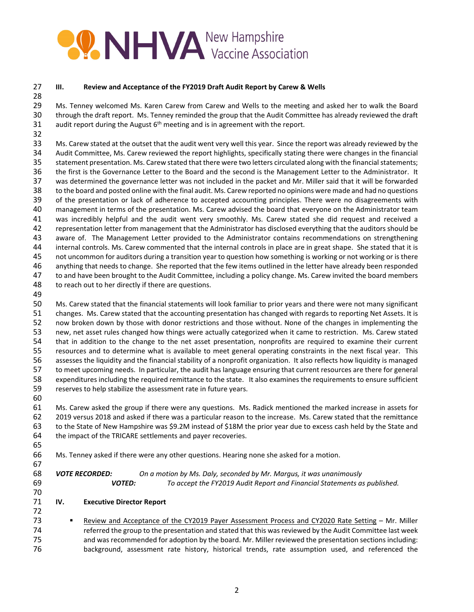## **PARTICIPAL MENA New Hampshire**

## **III. Review and Acceptance of the FY2019 Draft Audit Report by Carew & Wells**

 Ms. Tenney welcomed Ms. Karen Carew from Carew and Wells to the meeting and asked her to walk the Board through the draft report. Ms. Tenney reminded the group that the Audit Committee has already reviewed the draft 31 audit report during the August  $6<sup>th</sup>$  meeting and is in agreement with the report.

 Ms. Carew stated at the outset that the audit went very well this year. Since the report was already reviewed by the Audit Committee, Ms. Carew reviewed the report highlights, specifically stating there were changes in the financial 35 statement presentation. Ms. Carew stated that there were two letters circulated along with the financial statements; the first is the Governance Letter to the Board and the second is the Management Letter to the Administrator. It was determined the governance letter was not included in the packet and Mr. Miller said that it will be forwarded to the board and posted online with the final audit. Ms. Carew reported no opinions were made and had no questions of the presentation or lack of adherence to accepted accounting principles. There were no disagreements with management in terms of the presentation. Ms. Carew advised the board that everyone on the Administrator team was incredibly helpful and the audit went very smoothly. Ms. Carew stated she did request and received a representation letter from management that the Administrator has disclosed everything that the auditors should be 43 aware of. The Management Letter provided to the Administrator contains recommendations on strengthening internal controls. Ms. Carew commented that the internal controls in place are in great shape. She stated that it is not uncommon for auditors during a transition year to question how something is working or not working or is there anything that needs to change. She reported that the few items outlined in the letter have already been responded to and have been brought to the Audit Committee, including a policy change. Ms. Carew invited the board members 48 to reach out to her directly if there are questions.

 Ms. Carew stated that the financial statements will look familiar to prior years and there were not many significant changes. Ms. Carew stated that the accounting presentation has changed with regards to reporting Net Assets. It is now broken down by those with donor restrictions and those without. None of the changes in implementing the new, net asset rules changed how things were actually categorized when it came to restriction. Ms. Carew stated that in addition to the change to the net asset presentation, nonprofits are required to examine their current resources and to determine what is available to meet general operating constraints in the next fiscal year. This assesses the liquidity and the financial stability of a nonprofit organization. It also reflects how liquidity is managed to meet upcoming needs. In particular, the audit has language ensuring that current resources are there for general expenditures including the required remittance to the state. It also examines the requirements to ensure sufficient reserves to help stabilize the assessment rate in future years.

 Ms. Carew asked the group if there were any questions. Ms. Radick mentioned the marked increase in assets for 2019 versus 2018 and asked if there was a particular reason to the increase. Ms. Carew stated that the remittance to the State of New Hampshire was \$9.2M instead of \$18M the prior year due to excess cash held by the State and the impact of the TRICARE settlements and payer recoveries. 

Ms. Tenney asked if there were any other questions. Hearing none she asked for a motion.

 *VOTE RECORDED: On a motion by Ms. Daly, seconded by Mr. Margus, it was unanimously VOTED: To accept the FY2019 Audit Report and Financial Statements as published.*

## **IV. Executive Director Report**

**Review and Acceptance of the CY2019 Payer Assessment Process and CY2020 Rate Setting – Mr. Miller**  referred the group to the presentation and stated that this was reviewed by the Audit Committee last week and was recommended for adoption by the board. Mr. Miller reviewed the presentation sections including: background, assessment rate history, historical trends, rate assumption used, and referenced the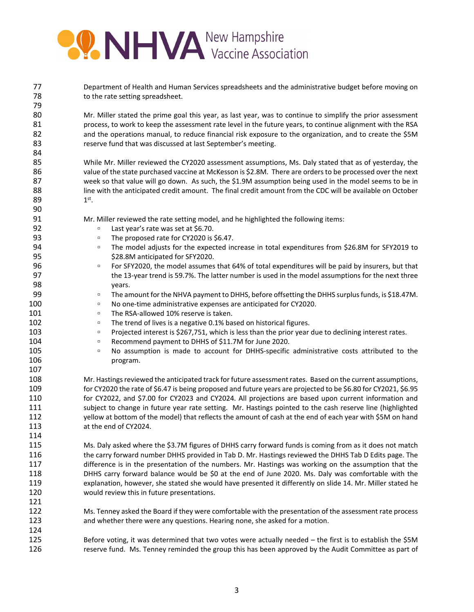

| 77<br>78<br>79 | Department of Health and Human Services spreadsheets and the administrative budget before moving on<br>to the rate setting spreadsheet. |
|----------------|-----------------------------------------------------------------------------------------------------------------------------------------|
| 80             | Mr. Miller stated the prime goal this year, as last year, was to continue to simplify the prior assessment                              |
| 81             | process, to work to keep the assessment rate level in the future years, to continue alignment with the RSA                              |
| 82             | and the operations manual, to reduce financial risk exposure to the organization, and to create the \$5M                                |
| 83             | reserve fund that was discussed at last September's meeting.                                                                            |
| 84             |                                                                                                                                         |
| 85             | While Mr. Miller reviewed the CY2020 assessment assumptions, Ms. Daly stated that as of yesterday, the                                  |
| 86             | value of the state purchased vaccine at McKesson is \$2.8M. There are orders to be processed over the next                              |
| 87             |                                                                                                                                         |
|                | week so that value will go down. As such, the \$1.9M assumption being used in the model seems to be in                                  |
| 88             | line with the anticipated credit amount. The final credit amount from the CDC will be available on October                              |
| 89             | $1st$ .                                                                                                                                 |
| 90             |                                                                                                                                         |
| 91             | Mr. Miller reviewed the rate setting model, and he highlighted the following items:                                                     |
| 92             | Last year's rate was set at \$6.70.<br>$\Box$                                                                                           |
| 93             | The proposed rate for CY2020 is \$6.47.<br>$\Box$                                                                                       |
| 94             | The model adjusts for the expected increase in total expenditures from \$26.8M for SFY2019 to<br>$\Box$                                 |
| 95             | \$28.8M anticipated for SFY2020.                                                                                                        |
| 96             | For SFY2020, the model assumes that 64% of total expenditures will be paid by insurers, but that<br>$\Box$                              |
| 97             | the 13-year trend is 59.7%. The latter number is used in the model assumptions for the next three                                       |
| 98             | years.                                                                                                                                  |
| 99             | The amount for the NHVA payment to DHHS, before offsetting the DHHS surplus funds, is \$18.47M.<br>$\Box$                               |
| 100            | No one-time administrative expenses are anticipated for CY2020.<br>$\Box$                                                               |
| 101            | The RSA-allowed 10% reserve is taken.<br>$\Box$                                                                                         |
| 102            | The trend of lives is a negative 0.1% based on historical figures.<br>$\Box$                                                            |
| 103            | Projected interest is \$267,751, which is less than the prior year due to declining interest rates.<br>$\Box$                           |
| 104            | Recommend payment to DHHS of \$11.7M for June 2020.<br>$\Box$                                                                           |
| 105            | No assumption is made to account for DHHS-specific administrative costs attributed to the<br>$\Box$                                     |
| 106            | program.                                                                                                                                |
| 107            |                                                                                                                                         |
| 108            | Mr. Hastings reviewed the anticipated track for future assessment rates. Based on the current assumptions,                              |
| 109            | for CY2020 the rate of \$6.47 is being proposed and future years are projected to be \$6.80 for CY2021, \$6.95                          |
| 110            | for CY2022, and \$7.00 for CY2023 and CY2024. All projections are based upon current information and                                    |
| 111            | subject to change in future year rate setting. Mr. Hastings pointed to the cash reserve line (highlighted                               |
| 112            | yellow at bottom of the model) that reflects the amount of cash at the end of each year with \$5M on hand                               |
| 113            | at the end of CY2024.                                                                                                                   |
| 114            |                                                                                                                                         |
|                |                                                                                                                                         |
| 115            | Ms. Daly asked where the \$3.7M figures of DHHS carry forward funds is coming from as it does not match                                 |
| 116            | the carry forward number DHHS provided in Tab D. Mr. Hastings reviewed the DHHS Tab D Edits page. The                                   |
| 117            | difference is in the presentation of the numbers. Mr. Hastings was working on the assumption that the                                   |
| 118            | DHHS carry forward balance would be \$0 at the end of June 2020. Ms. Daly was comfortable with the                                      |
| 119            | explanation, however, she stated she would have presented it differently on slide 14. Mr. Miller stated he                              |
| 120            | would review this in future presentations.                                                                                              |
| 121            |                                                                                                                                         |
| 122            | Ms. Tenney asked the Board if they were comfortable with the presentation of the assessment rate process                                |
| 123            | and whether there were any questions. Hearing none, she asked for a motion.                                                             |
| 124            |                                                                                                                                         |
| 125            | Before voting, it was determined that two votes were actually needed - the first is to establish the \$5M                               |
| 126            | reserve fund. Ms. Tenney reminded the group this has been approved by the Audit Committee as part of                                    |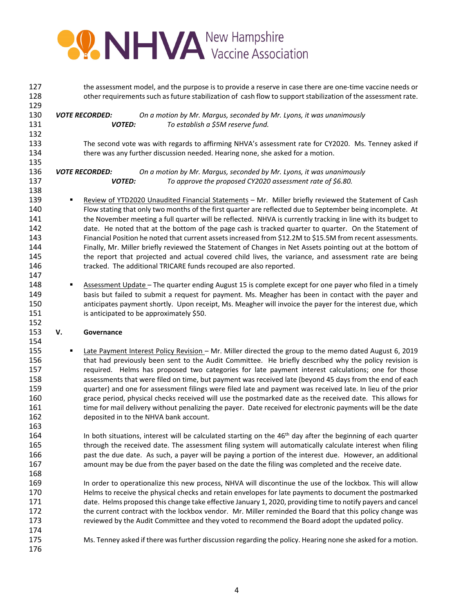

| 127 | the assessment model, and the purpose is to provide a reserve in case there are one-time vaccine needs or |                                                                                                                                                                                                                      |  |  |  |
|-----|-----------------------------------------------------------------------------------------------------------|----------------------------------------------------------------------------------------------------------------------------------------------------------------------------------------------------------------------|--|--|--|
| 128 |                                                                                                           | other requirements such as future stabilization of cash flow to support stabilization of the assessment rate.                                                                                                        |  |  |  |
| 129 |                                                                                                           |                                                                                                                                                                                                                      |  |  |  |
| 130 |                                                                                                           | On a motion by Mr. Margus, seconded by Mr. Lyons, it was unanimously<br><b>VOTE RECORDED:</b>                                                                                                                        |  |  |  |
| 131 |                                                                                                           | <b>VOTED:</b><br>To establish a \$5M reserve fund.                                                                                                                                                                   |  |  |  |
| 132 |                                                                                                           |                                                                                                                                                                                                                      |  |  |  |
| 133 |                                                                                                           | The second vote was with regards to affirming NHVA's assessment rate for CY2020. Ms. Tenney asked if                                                                                                                 |  |  |  |
| 134 |                                                                                                           | there was any further discussion needed. Hearing none, she asked for a motion.                                                                                                                                       |  |  |  |
| 135 |                                                                                                           |                                                                                                                                                                                                                      |  |  |  |
| 136 |                                                                                                           | On a motion by Mr. Margus, seconded by Mr. Lyons, it was unanimously<br><b>VOTE RECORDED:</b>                                                                                                                        |  |  |  |
| 137 |                                                                                                           | <b>VOTED:</b><br>To approve the proposed CY2020 assessment rate of \$6.80.                                                                                                                                           |  |  |  |
| 138 |                                                                                                           |                                                                                                                                                                                                                      |  |  |  |
| 139 | ٠                                                                                                         | Review of YTD2020 Unaudited Financial Statements - Mr. Miller briefly reviewed the Statement of Cash                                                                                                                 |  |  |  |
| 140 |                                                                                                           |                                                                                                                                                                                                                      |  |  |  |
|     |                                                                                                           | Flow stating that only two months of the first quarter are reflected due to September being incomplete. At                                                                                                           |  |  |  |
| 141 |                                                                                                           | the November meeting a full quarter will be reflected. NHVA is currently tracking in line with its budget to                                                                                                         |  |  |  |
| 142 |                                                                                                           | date. He noted that at the bottom of the page cash is tracked quarter to quarter. On the Statement of                                                                                                                |  |  |  |
| 143 |                                                                                                           | Financial Position he noted that current assets increased from \$12.2M to \$15.5M from recent assessments.                                                                                                           |  |  |  |
| 144 |                                                                                                           | Finally, Mr. Miller briefly reviewed the Statement of Changes in Net Assets pointing out at the bottom of                                                                                                            |  |  |  |
| 145 |                                                                                                           | the report that projected and actual covered child lives, the variance, and assessment rate are being                                                                                                                |  |  |  |
| 146 |                                                                                                           | tracked. The additional TRICARE funds recouped are also reported.                                                                                                                                                    |  |  |  |
| 147 |                                                                                                           |                                                                                                                                                                                                                      |  |  |  |
| 148 | ٠                                                                                                         | Assessment Update - The quarter ending August 15 is complete except for one payer who filed in a timely                                                                                                              |  |  |  |
| 149 |                                                                                                           | basis but failed to submit a request for payment. Ms. Meagher has been in contact with the payer and                                                                                                                 |  |  |  |
| 150 |                                                                                                           | anticipates payment shortly. Upon receipt, Ms. Meagher will invoice the payer for the interest due, which                                                                                                            |  |  |  |
| 151 |                                                                                                           | is anticipated to be approximately \$50.                                                                                                                                                                             |  |  |  |
| 152 |                                                                                                           |                                                                                                                                                                                                                      |  |  |  |
| 153 | V.                                                                                                        | Governance                                                                                                                                                                                                           |  |  |  |
| 154 |                                                                                                           |                                                                                                                                                                                                                      |  |  |  |
| 155 | ٠                                                                                                         | Late Payment Interest Policy Revision - Mr. Miller directed the group to the memo dated August 6, 2019                                                                                                               |  |  |  |
| 156 |                                                                                                           | that had previously been sent to the Audit Committee. He briefly described why the policy revision is                                                                                                                |  |  |  |
| 157 |                                                                                                           | required. Helms has proposed two categories for late payment interest calculations; one for those                                                                                                                    |  |  |  |
| 158 |                                                                                                           | assessments that were filed on time, but payment was received late (beyond 45 days from the end of each                                                                                                              |  |  |  |
| 159 |                                                                                                           | quarter) and one for assessment filings were filed late and payment was received late. In lieu of the prior                                                                                                          |  |  |  |
| 160 |                                                                                                           | grace period, physical checks received will use the postmarked date as the received date. This allows for                                                                                                            |  |  |  |
| 161 |                                                                                                           | time for mail delivery without penalizing the payer. Date received for electronic payments will be the date                                                                                                          |  |  |  |
| 162 |                                                                                                           | deposited in to the NHVA bank account.                                                                                                                                                                               |  |  |  |
| 163 |                                                                                                           |                                                                                                                                                                                                                      |  |  |  |
| 164 |                                                                                                           | In both situations, interest will be calculated starting on the 46 <sup>th</sup> day after the beginning of each quarter                                                                                             |  |  |  |
| 165 |                                                                                                           | through the received date. The assessment filing system will automatically calculate interest when filing                                                                                                            |  |  |  |
| 166 |                                                                                                           | past the due date. As such, a payer will be paying a portion of the interest due. However, an additional                                                                                                             |  |  |  |
| 167 |                                                                                                           | amount may be due from the payer based on the date the filing was completed and the receive date.                                                                                                                    |  |  |  |
| 168 |                                                                                                           |                                                                                                                                                                                                                      |  |  |  |
| 169 |                                                                                                           |                                                                                                                                                                                                                      |  |  |  |
| 170 |                                                                                                           | In order to operationalize this new process, NHVA will discontinue the use of the lockbox. This will allow<br>Helms to receive the physical checks and retain envelopes for late payments to document the postmarked |  |  |  |
| 171 |                                                                                                           |                                                                                                                                                                                                                      |  |  |  |
|     |                                                                                                           | date. Helms proposed this change take effective January 1, 2020, providing time to notify payers and cancel                                                                                                          |  |  |  |
| 172 |                                                                                                           | the current contract with the lockbox vendor. Mr. Miller reminded the Board that this policy change was                                                                                                              |  |  |  |
| 173 |                                                                                                           | reviewed by the Audit Committee and they voted to recommend the Board adopt the updated policy.                                                                                                                      |  |  |  |
| 174 |                                                                                                           |                                                                                                                                                                                                                      |  |  |  |
| 175 |                                                                                                           | Ms. Tenney asked if there was further discussion regarding the policy. Hearing none she asked for a motion.                                                                                                          |  |  |  |
| 176 |                                                                                                           |                                                                                                                                                                                                                      |  |  |  |
|     |                                                                                                           |                                                                                                                                                                                                                      |  |  |  |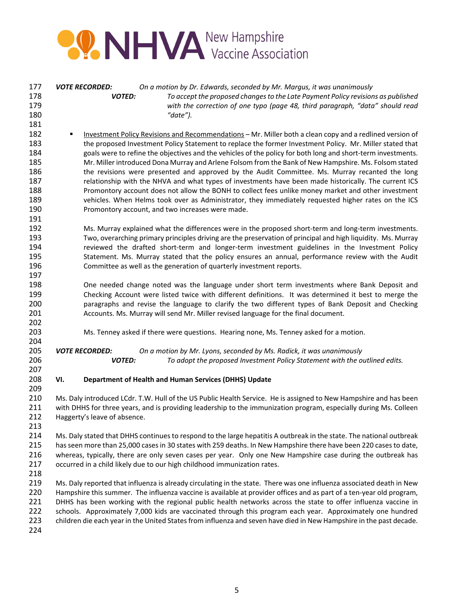

| 177<br>178<br>179<br>180<br>181                                    | On a motion by Dr. Edwards, seconded by Mr. Margus, it was unanimously<br><b>VOTE RECORDED:</b><br><b>VOTED:</b><br>To accept the proposed changes to the Late Payment Policy revisions as published<br>with the correction of one typo (page 48, third paragraph, "data" should read<br>"date").                                                                                                                                                                                                                                                                                                                                                                                                                                                                                                                                                                                                                               |  |  |  |  |
|--------------------------------------------------------------------|---------------------------------------------------------------------------------------------------------------------------------------------------------------------------------------------------------------------------------------------------------------------------------------------------------------------------------------------------------------------------------------------------------------------------------------------------------------------------------------------------------------------------------------------------------------------------------------------------------------------------------------------------------------------------------------------------------------------------------------------------------------------------------------------------------------------------------------------------------------------------------------------------------------------------------|--|--|--|--|
| 182<br>183<br>184<br>185<br>186<br>187<br>188<br>189<br>190<br>191 | Investment Policy Revisions and Recommendations - Mr. Miller both a clean copy and a redlined version of<br>٠<br>the proposed Investment Policy Statement to replace the former Investment Policy. Mr. Miller stated that<br>goals were to refine the objectives and the vehicles of the policy for both long and short-term investments.<br>Mr. Miller introduced Dona Murray and Arlene Folsom from the Bank of New Hampshire. Ms. Folsom stated<br>the revisions were presented and approved by the Audit Committee. Ms. Murray recanted the long<br>relationship with the NHVA and what types of investments have been made historically. The current ICS<br>Promontory account does not allow the BONH to collect fees unlike money market and other investment<br>vehicles. When Helms took over as Administrator, they immediately requested higher rates on the ICS<br>Promontory account, and two increases were made. |  |  |  |  |
| 192<br>193<br>194<br>195<br>196<br>197                             | Ms. Murray explained what the differences were in the proposed short-term and long-term investments.<br>Two, overarching primary principles driving are the preservation of principal and high liquidity. Ms. Murray<br>reviewed the drafted short-term and longer-term investment guidelines in the Investment Policy<br>Statement. Ms. Murray stated that the policy ensures an annual, performance review with the Audit<br>Committee as well as the generation of quarterly investment reports.                                                                                                                                                                                                                                                                                                                                                                                                                             |  |  |  |  |
| 198<br>199<br>200<br>201<br>202                                    | One needed change noted was the language under short term investments where Bank Deposit and<br>Checking Account were listed twice with different definitions. It was determined it best to merge the<br>paragraphs and revise the language to clarify the two different types of Bank Deposit and Checking<br>Accounts. Ms. Murray will send Mr. Miller revised language for the final document.                                                                                                                                                                                                                                                                                                                                                                                                                                                                                                                               |  |  |  |  |
| 203<br>204                                                         | Ms. Tenney asked if there were questions. Hearing none, Ms. Tenney asked for a motion.                                                                                                                                                                                                                                                                                                                                                                                                                                                                                                                                                                                                                                                                                                                                                                                                                                          |  |  |  |  |
| 205<br>206<br>207                                                  | <b>VOTE RECORDED:</b><br>On a motion by Mr. Lyons, seconded by Ms. Radick, it was unanimously<br><b>VOTED:</b><br>To adopt the proposed Investment Policy Statement with the outlined edits.                                                                                                                                                                                                                                                                                                                                                                                                                                                                                                                                                                                                                                                                                                                                    |  |  |  |  |
| 208<br>209                                                         | VI.<br>Department of Health and Human Services (DHHS) Update                                                                                                                                                                                                                                                                                                                                                                                                                                                                                                                                                                                                                                                                                                                                                                                                                                                                    |  |  |  |  |
| 210<br>211<br>212<br>213                                           | Ms. Daly introduced LCdr. T.W. Hull of the US Public Health Service. He is assigned to New Hampshire and has been<br>with DHHS for three years, and is providing leadership to the immunization program, especially during Ms. Colleen<br>Haggerty's leave of absence.                                                                                                                                                                                                                                                                                                                                                                                                                                                                                                                                                                                                                                                          |  |  |  |  |
| 214<br>215<br>216<br>217<br>218                                    | Ms. Daly stated that DHHS continues to respond to the large hepatitis A outbreak in the state. The national outbreak<br>has seen more than 25,000 cases in 30 states with 259 deaths. In New Hampshire there have been 220 cases to date,<br>whereas, typically, there are only seven cases per year. Only one New Hampshire case during the outbreak has<br>occurred in a child likely due to our high childhood immunization rates.                                                                                                                                                                                                                                                                                                                                                                                                                                                                                           |  |  |  |  |
| 219<br>220<br>221<br>222<br>223<br>224                             | Ms. Daly reported that influenza is already circulating in the state. There was one influenza associated death in New<br>Hampshire this summer. The influenza vaccine is available at provider offices and as part of a ten-year old program,<br>DHHS has been working with the regional public health networks across the state to offer influenza vaccine in<br>schools. Approximately 7,000 kids are vaccinated through this program each year. Approximately one hundred<br>children die each year in the United States from influenza and seven have died in New Hampshire in the past decade.                                                                                                                                                                                                                                                                                                                             |  |  |  |  |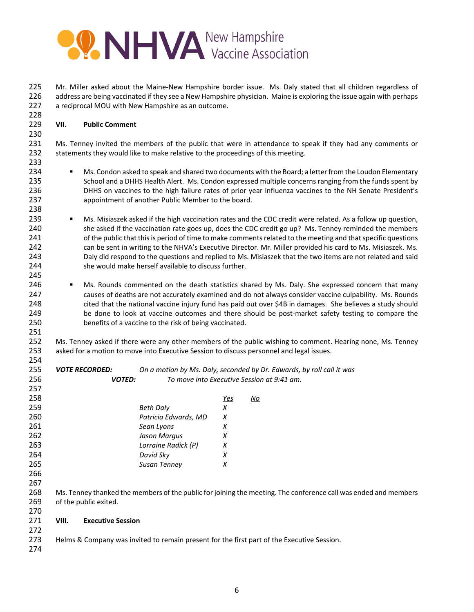

225 Mr. Miller asked about the Maine-New Hampshire border issue. Ms. Daly stated that all children regardless of address are being vaccinated if they see a New Hampshire physician. Maine is exploring the issue again with perhaps a reciprocal MOU with New Hampshire as an outcome.

## **VII. Public Comment**

231 Ms. Tenney invited the members of the public that were in attendance to speak if they had any comments or statements they would like to make relative to the proceedings of this meeting.

- 234 Ms. Condon asked to speak and shared two documents with the Board; a letter from the Loudon Elementary 235 School and a DHHS Health Alert. Ms. Condon expressed multiple concerns ranging from the funds spent by DHHS on vaccines to the high failure rates of prior year influenza vaccines to the NH Senate President's appointment of another Public Member to the board.
- 239 Ms. Misiaszek asked if the high vaccination rates and the CDC credit were related. As a follow up question, she asked if the vaccination rate goes up, does the CDC credit go up? Ms. Tenney reminded the members 241 of the public that this is period of time to make comments related to the meeting and that specific questions can be sent in writing to the NHVA's Executive Director. Mr. Miller provided his card to Ms. Misiaszek. Ms. Daly did respond to the questions and replied to Ms. Misiaszek that the two items are not related and said she would make herself available to discuss further.
- 246 Ms. Rounds commented on the death statistics shared by Ms. Daly. She expressed concern that many causes of deaths are not accurately examined and do not always consider vaccine culpability. Ms. Rounds cited that the national vaccine injury fund has paid out over \$4B in damages. She believes a study should 249 be done to look at vaccine outcomes and there should be post-market safety testing to compare the benefits of a vaccine to the risk of being vaccinated.
- 252 Ms. Tenney asked if there were any other members of the public wishing to comment. Hearing none, Ms. Tenney asked for a motion to move into Executive Session to discuss personnel and legal issues.
- *VOTE RECORDED: On a motion by Ms. Daly, seconded by Dr. Edwards, by roll call it was VOTED: To move into Executive Session at 9:41 am.*

| 258 |                       |                      | <u>Yes</u> | No                                                                                                              |
|-----|-----------------------|----------------------|------------|-----------------------------------------------------------------------------------------------------------------|
| 259 |                       | <b>Beth Daly</b>     | Х          |                                                                                                                 |
| 260 |                       | Patricia Edwards, MD | X          |                                                                                                                 |
| 261 |                       | Sean Lyons           | х          |                                                                                                                 |
| 262 |                       | Jason Margus         | Х          |                                                                                                                 |
| 263 |                       | Lorraine Radick (P)  | X          |                                                                                                                 |
| 264 |                       | David Sky            | X          |                                                                                                                 |
| 265 |                       | Susan Tenney         | х          |                                                                                                                 |
| 266 |                       |                      |            |                                                                                                                 |
| 267 |                       |                      |            |                                                                                                                 |
| 268 |                       |                      |            | Ms. Tenney thanked the members of the public for joining the meeting. The conference call was ended and members |
| 269 | of the public exited. |                      |            |                                                                                                                 |

- **VIII. Executive Session**
- Helms & Company was invited to remain present for the first part of the Executive Session.